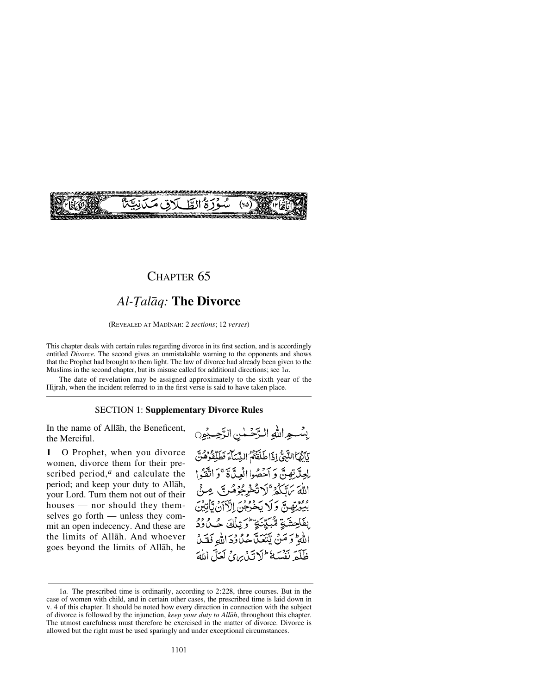

### CHAPTER 65

## Al-Tal*āq*: **The Divorce**

(REVEALED AT MADÍNAH: 2 *sections*; 12 *verses*)

This chapter deals with certain rules regarding divorce in its first section, and is accordingly entitled *Divorce*. The second gives an unmistakable warning to the opponents and shows that the Prophet had brought to them light. The law of divorce had already been given to the Muslims in the second chapter, but its misuse called for additional directions; see 1*a*.

The date of revelation may be assigned approximately to the sixth year of the Hijrah, when the incident referred to in the first verse is said to have taken place.

#### SECTION 1: **Supplementary Divorce Rules**

In the name of Allåh, the Beneficent, the Merciful.

**1** O Prophet, when you divorce women, divorce them for their prescribed period,*<sup>a</sup>* and calculate the period; and keep your duty to Allåh, your Lord. Turn them not out of their houses — nor should they themselves go forth — unless they commit an open indecency. And these are the limits of Allåh. And whoever goes beyond the limits of Allåh, he

بِسُواللهِ الرَّحْمٰنِ الرَّحِيْمِ ْيَأَتَّهَاْالِتَّبِيُّ إِذَا طَلَّقَتُمُ النِّسَاءَ فَطَلِّقْوُهُنَّ لِعِدَّيْ تِصِيبٌ وَ آَخَصُوا الْعِدَّةَ ۚ وَ اتَّقَدُوا اللَّهَ بَرَّتَكُمْ ۚ لَا تُخْرِجُوْهُ بِهِ صِيْنَ بِيُوْتِهِينَّ وَلَا يَخْرُجُنَ الْآلَانُ يَأْتِيْنَ بِفَاحِشَةٍ مُّبَيِّنَةٍ ۚ وَتِلْكَ حُـلُودُ اللَّهِ وَمَنْ يَتَعَلَّكُ حُدُودَ اللَّهِ فَقَلْ ظَلَّمَ نَفْسَهُ ۖ لَا تَذَيْنَ لَهَ لَعَلَّ اللَّهَ

<sup>1</sup>*a.* The prescribed time is ordinarily, according to 2:228, three courses. But in the case of women with child, and in certain other cases, the prescribed time is laid down in v. 4 of this chapter. It should be noted how every direction in connection with the subject of divorce is followed by the injunction, *keep your duty to Allåh*, throughout this chapter. The utmost carefulness must therefore be exercised in the matter of divorce. Divorce is allowed but the right must be used sparingly and under exceptional circumstances.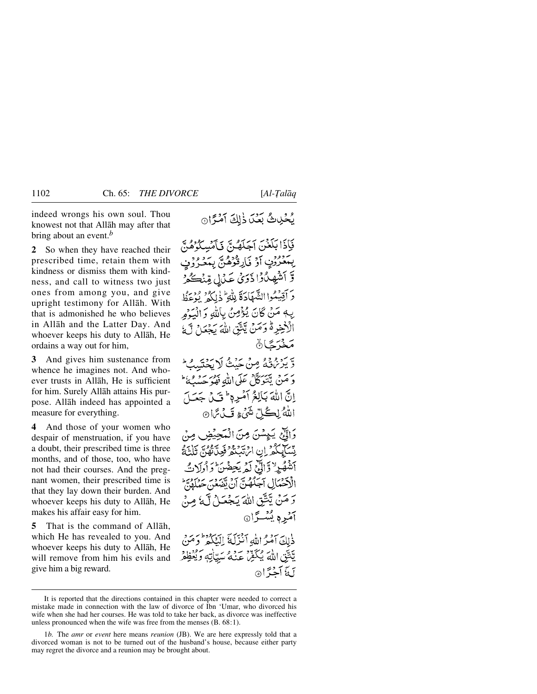indeed wrongs his own soul. Thou knowest not that Allåh may after that bring about an event.*<sup>b</sup>*

**2** So when they have reached their prescribed time, retain them with kindness or dismiss them with kindness, and call to witness two just ones from among you, and give upright testimony for Allåh. With that is admonished he who believes in Allåh and the Latter Day. And whoever keeps his duty to Allåh, He ordains a way out for him,

**3** And gives him sustenance from whence he imagines not. And whoever trusts in Allåh, He is sufficient for him. Surely Allåh attains His purpose. Allåh indeed has appointed a measure for everything.

**4** And those of your women who despair of menstruation, if you have a doubt, their prescribed time is three months, and of those, too, who have not had their courses. And the pregnant women, their prescribed time is that they lay down their burden. And whoever keeps his duty to Allåh, He makes his affair easy for him.

**5** That is the command of Allåh, which He has revealed to you. And whoever keeps his duty to Allåh, He will remove from him his evils and give him a big reward.

يُحْيِيِّ بَعْدَ ذٰلِكَ آمْرًا

فَإِذَا بَلَغْنَ آجَلَهُنَّ فَأَمْسِكُوْهُنَّ يْمَدُّرُوْنِ أَوْ فَارِقْوُهُنَّ يِمَدُرُوْنِي وَّ اَشْهِدُوْا ذَرَىٰ عَدْلِ مِّنْكُوْ دَ أَقِيَٰكُوا الشَّهَادَةَ لِلْهِ ۖ ذٰلِكُمْ ۚ يُؤْعَظُ يِّهِ مَنْ كَانَ يُؤْمِنُ بِاللَّهِ وَالْبَوْمِرِ الْأَخِرِةُ وَمَنْ يَتَّقِّ اللَّهَ يَجْعَلْ لَّ مَخْرَجَا۞ وَّ يَرْمُوْنَى مِنْ حَيْثُ لَا يَحْسَبُ ۖ وَ مَنْ يَتَوَكَّلْ عَلَى اللَّهِ فَهُوَ حَسْبُهُ ۖ إِنَّ اللَّهَ بَالِغُ آمُرِهِ ۚ فَبَيْ جَعَبَ اللهُ لِكُلِّ شَيْءٍ قَبْلُ مَا @ وَاتِّعْ يَبِهِسْنَ مِنَ الْمَجِيَّضِ مِنْ يْسَابِكُمْ إِنِ الْرَبَّدِيْمُ فَعِنَّاتُهُنَّ ثَلْثَةُ أَشْهُرٍ لَا وَالِّيْ لَمْ يَحِفْنَ وَأُولَاتٌ الْأَحْمَالِ آجِلُهُنَّ أَنْ يَقْبَعُنَ حَمْلَهُنَّ وَ مَنْ يَنْتَقِ اللَّهَ يَجْعَلْ لَّهُ مِنْ آمېره پښترا@ ذٰلِكَ آمُرُ اللَّهُ أَنْزَلَةَ إِلَيْكُمْ فَوَمَنَ يَّتَّقِ اللَّهَ يُكَفِّرْ عَنْهُ سَيَّاتِهِ وَيُعْظِفْرُ بَدَّ أَجْزًا۞

It is reported that the directions contained in this chapter were needed to correct a mistake made in connection with the law of divorce of Ibn 'Umar, who divorced his wife when she had her courses. He was told to take her back, as divorce was ineffective unless pronounced when the wife was free from the menses (B. 68:1).

<sup>1</sup>*b.* The *amr* or *event* here means *reunion* (JB). We are here expressly told that a divorced woman is not to be turned out of the husband's house, because either party may regret the divorce and a reunion may be brought about.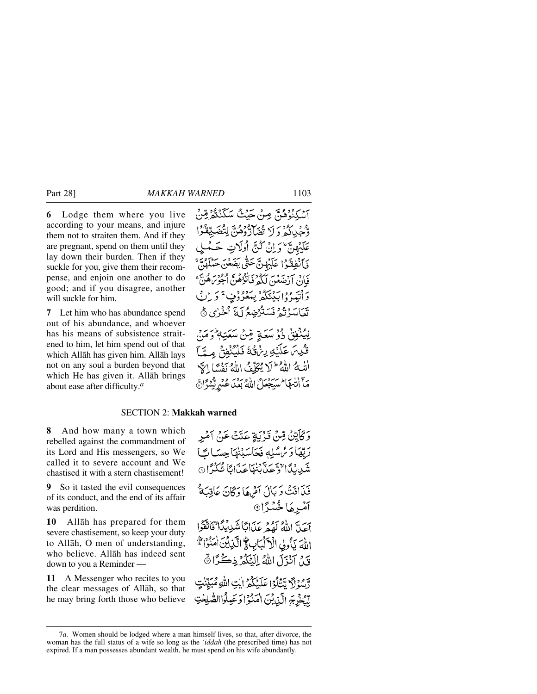**6** Lodge them where you live according to your means, and injure them not to straiten them. And if they are pregnant, spend on them until they lay down their burden. Then if they suckle for you, give them their recompense, and enjoin one another to do good; and if you disagree, another will suckle for him.

**7** Let him who has abundance spend out of his abundance, and whoever has his means of subsistence straitened to him, let him spend out of that which Allåh has given him. Allåh lays not on any soul a burden beyond that which He has given it. Allåh brings about ease after difficulty.*<sup>a</sup>*

#### SECTION 2: **Makkah warned**

**8** And how many a town which rebelled against the commandment of its Lord and His messengers, so We called it to severe account and We chastised it with a stern chastisement!

**9** So it tasted the evil consequences of its conduct, and the end of its affair was perdition.

**10** Allåh has prepared for them severe chastisement, so keep your duty to Allåh, O men of understanding, who believe. Allåh has indeed sent down to you a Reminder —

**11** A Messenger who recites to you the clear messages of Allåh, so that he may bring forth those who believe

وَكَأَيِّنْ مِّنْ قَرْبَةٍ عَتَتْ عَنْ آمْرِ رَبِّهَا دَ مُ سُلِّهِ نَحَاسَبُنَهَا حِسَاتً شَيْدِيْدًا تُوَّجَدَّيْبَنْهَا عَذَابًا شَّكْرًا ۞ فَنَاقَتْ وَ بَأَلَ أَمْرِهَا وَكَانَ عَاقِبَةٌ ۚ آمْرِهَا خُسْرًا ہے کہ اللہ کھیڑے آگا تئیں نگا"فکاتقوا اللهَ يَأْوِلِى الْأَلْبَابِ لَمَّ الَّذِينَ امْنُوْا لَهُ قَدْ، آنْزَلَ اللَّهُ إِلَيْكُمْ ذِكْرًا ﴾ دَّسْوَلَ تَتَنَاوَا عَلَيْكُمْ إِيْتِ اللَّهِ مُبَيِّنَتٍ لْكَخْرِجَ الَّذِينَ اٰمَنُوۡۤا وَعَبِلُوۡاالصَّلِحٰتِ

<sup>7</sup>*a.* Women should be lodged where a man himself lives, so that, after divorce, the woman has the full status of a wife so long as the *'iddah* (the prescribed time) has not expired. If a man possesses abundant wealth, he must spend on his wife abundantly.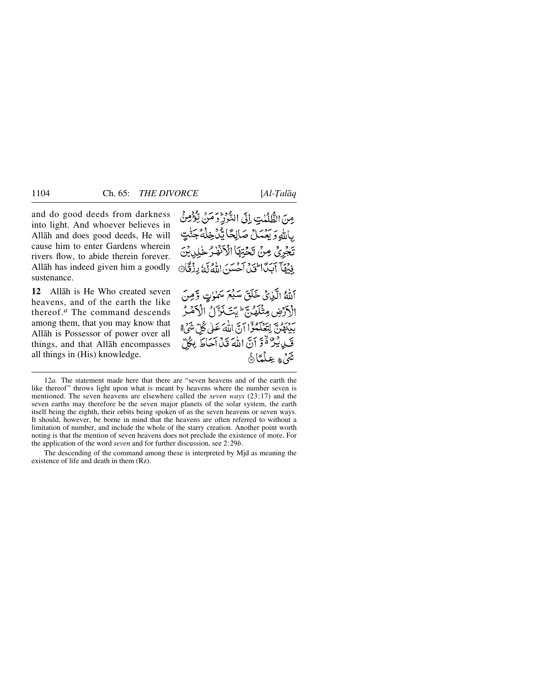and do good deeds from darkness into light. And whoever believes in Allåh and does good deeds, He will cause him to enter Gardens wherein rivers flow, to abide therein forever. Allåh has indeed given him a goodly sustenance.

**12** Allåh is He Who created seven heavens, and of the earth the like thereof.*<sup>a</sup>* The command descends among them, that you may know that Allåh is Possessor of power over all things, and that Allåh encompasses all things in (His) knowledge.

مِنَ الظُّلُمٰتِ إِلَى النُّوْرِ وَمَنْ يُؤْمِنُ بِاللَّهِ وَيَعْمَلْ صَالِحًا يَّدَخِلْهُ جَذّْ تَجْرِيْ مِنْ تَحْتِهَا الْأَنْفَٰذُ خَـٰ فِنْهَا آَيَدَا الْحَيْنَ آَجَسَنَ اللَّهُ لَهُ رِزْقَانَ

اللهُ الَّذِيْ خَلَقَ سَبْعَ سَلْوٰتٍ وَّمِنَ الأدبض مثَلَهُ بِبَرَ لِمَتَ بَدَّاثُ الْأَهْبُرُ سوسوم لِيَعْلَمُوْٓا آبَّ اللَّهَ عَلَى كُلَّ شَيْءٍ ۚ فَكِيدٌ لَهُ وَّ آنَّ اللَّهَ قَدْ أَحَاطَ بِكُلِّ ثَةُ مُ عِلْمَاً هُ

<sup>12</sup>*a.* The statement made here that there are "seven heavens and of the earth the like thereof" throws light upon what is meant by heavens where the number seven is mentioned. The seven heavens are elsewhere called the *seven ways* (23:17) and the seven earths may therefore be the seven major planets of the solar system, the earth itself being the eighth, their orbits being spoken of as the seven heavens or seven ways. It should, however, be borne in mind that the heavens are often referred to without a limitation of number, and include the whole of the starry creation. Another point worth noting is that the mention of seven heavens does not preclude the existence of more. For the application of the word *seven* and for further discussion, see 2:29*b*.

The descending of the command among these is interpreted by Mjd as meaning the existence of life and death in them (Rz).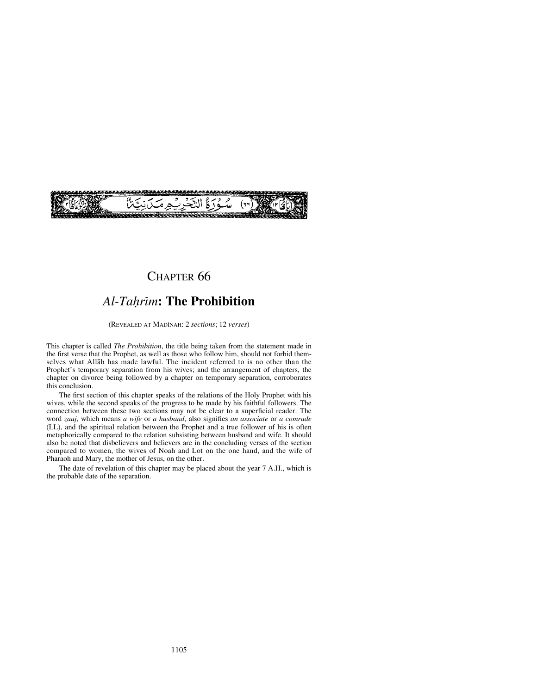

### CHAPTER 66

# **Al-Tahrim: The Prohibition**

(REVEALED AT MADÍNAH: 2 *sections*; 12 *verses*)

This chapter is called *The Prohibition*, the title being taken from the statement made in the first verse that the Prophet, as well as those who follow him, should not forbid themselves what Allåh has made lawful. The incident referred to is no other than the Prophet's temporary separation from his wives; and the arrangement of chapters, the chapter on divorce being followed by a chapter on temporary separation, corroborates this conclusion.

The first section of this chapter speaks of the relations of the Holy Prophet with his wives, while the second speaks of the progress to be made by his faithful followers. The connection between these two sections may not be clear to a superficial reader. The word *zauj*, which means *a wife* or *a husband*, also signifies *an associate* or *a comrade* (LL), and the spiritual relation between the Prophet and a true follower of his is often metaphorically compared to the relation subsisting between husband and wife. It should also be noted that disbelievers and believers are in the concluding verses of the section compared to women, the wives of Noah and Lot on the one hand, and the wife of Pharaoh and Mary, the mother of Jesus, on the other.

The date of revelation of this chapter may be placed about the year 7 A.H., which is the probable date of the separation.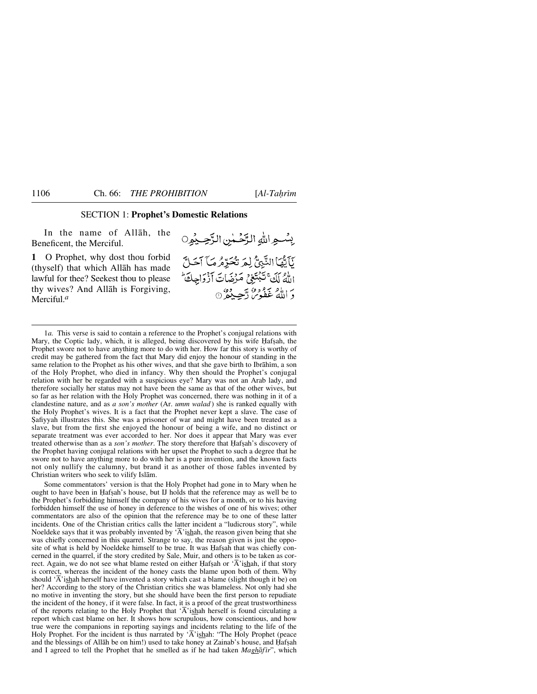### SECTION 1: **Prophet's Domestic Relations**

In the name of Allåh, the Beneficent, the Merciful.

**1** O Prophet, why dost thou forbid (thyself) that which Allåh has made lawful for thee? Seekest thou to please thy wives? And Allåh is Forgiving, Merciful.*<sup>a</sup>*

بِسْعِ اللهِ الرَّحْمٰنِ الرَّحِيْوِ0 يَآيَّهَا النَّبِيُّ لِمَر تُحَرِّهُ مَا آحَلَّ اللهُ لَكَ تَبْتَغِي مَرْضَاتَ أَزْوَاجِكَ وَ اللَّهُ عَفُومٌ دَّجِيبٌ وَ مِنَ

1*a.* This verse is said to contain a reference to the Prophet's conjugal relations with Mary, the Coptic lady, which, it is alleged, being discovered by his wife Hafsah, the Prophet swore not to have anything more to do with her. How far this story is worthy of credit may be gathered from the fact that Mary did enjoy the honour of standing in the same relation to the Prophet as his other wives, and that she gave birth to Ibrāhim, a son of the Holy Prophet, who died in infancy. Why then should the Prophet's conjugal relation with her be regarded with a suspicious eye? Mary was not an Arab lady, and therefore socially her status may not have been the same as that of the other wives, but so far as her relation with the Holy Prophet was concerned, there was nothing in it of a clandestine nature, and as *a son's mother* (Ar. *umm walad* ) she is ranked equally with the Holy Prophet's wives. It is a fact that the Prophet never kept a slave. The case of ˝afiyyah illustrates this. She was a prisoner of war and might have been treated as a slave, but from the first she enjoyed the honour of being a wife, and no distinct or separate treatment was ever accorded to her. Nor does it appear that Mary was ever treated otherwise than as a *son's mother*. The story therefore that Hafsah's discovery of the Prophet having conjugal relations with her upset the Prophet to such a degree that he swore not to have anything more to do with her is a pure invention, and the known facts not only nullify the calumny, but brand it as another of those fables invented by Christian writers who seek to vilify Islåm.

Some commentators' version is that the Holy Prophet had gone in to Mary when he ought to have been in Hafsah's house, but IJ holds that the reference may as well be to the Prophet's forbidding himself the company of his wives for a month, or to his having forbidden himself the use of honey in deference to the wishes of one of his wives; other commentators are also of the opinion that the reference may be to one of these latter incidents. One of the Christian critics calls the latter incident a "ludicrous story", while Noeldeke says that it was probably invented by  $\overline{A}$  ishah, the reason given being that she was chiefly concerned in this quarrel. Strange to say, the reason given is just the opposite of what is held by Noeldeke himself to be true. It was Hafsah that was chiefly concerned in the quarrel, if the story credited by Sale, Muir, and others is to be taken as correct. Again, we do not see what blame rested on either Hafsah or  $\mathbf{\hat{A}}$ 'ishah, if that story is correct, whereas the incident of the honey casts the blame upon both of them. Why should  $\overline{A}$ 'ishah herself have invented a story which cast a blame (slight though it be) on her? According to the story of the Christian critics she was blameless. Not only had she no motive in inventing the story, but she should have been the first person to repudiate the incident of the honey, if it were false. In fact, it is a proof of the great trustworthiness of the reports relating to the Holy Prophet that  $\overline{A}$ 'ishah herself is found circulating a report which cast blame on her. It shows how scrupulous, how conscientious, and how true were the companions in reporting sayings and incidents relating to the life of the Holy Prophet. For the incident is thus narrated by ' $\overline{A}$ 'ishah: "The Holy Prophet (peace and the blessings of Allāh be on him!) used to take honey at Zainab's house, and Hafşah and I agreed to tell the Prophet that he smelled as if he had taken *Maghāfīr*", which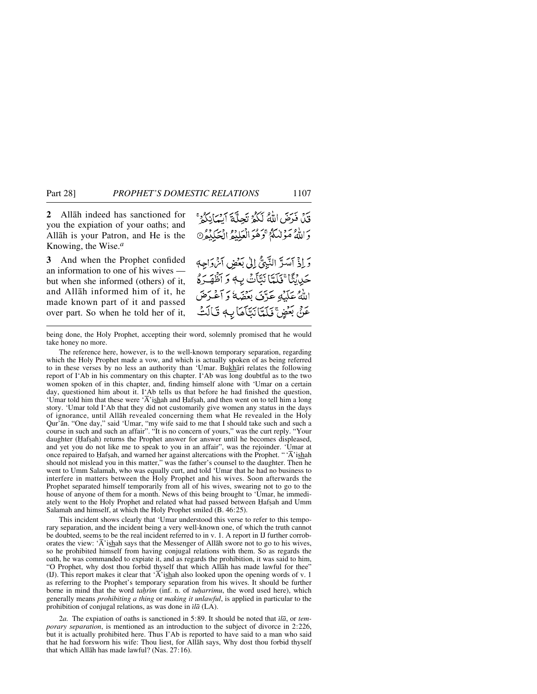**2** Allåh indeed has sanctioned for you the expiation of your oaths; and Allåh is your Patron, and He is the Knowing, the Wise.*<sup>a</sup>*

**3** And when the Prophet confided an information to one of his wives but when she informed (others) of it, and Allåh informed him of it, he made known part of it and passed over part. So when he told her of it,

قِيدًى فَدَمَتِي اللَّهُ لَكُمُ تَحِلَّةَ أَيْسَانِكُمْ ۚ وَاللَّهُ مَوْلِيَكُمُ وَهُوَالْعَلِيْمُ الْحَكِيْمُ 0 وَإِذْ آسَدَّ النَّبِيُّ إِلَىٰ بَعْضِ آمْ وَاجِهِ حَيْاَيَّنَّا ۚ فَلَمَّاَ نَبَّاَتُ بِهِ وَ أَظْهَـرَهُ اللهُ عَلَيْهِ عَرَّفَ بَعْضَهُ وَآَعْرَضَ عَنِّي بَعُضٍ ۚ فَلَمِّاَنَّكَامَاتِهِ قَالَتْ

being done, the Holy Prophet, accepting their word, solemnly promised that he would take honey no more.

The reference here, however, is to the well-known temporary separation, regarding which the Holy Prophet made a vow, and which is actually spoken of as being referred to in these verses by no less an authority than 'Umar. Bukhari relates the following report of I'Ab in his commentary on this chapter. I'Ab was long doubtful as to the two women spoken of in this chapter, and, finding himself alone with 'Umar on a certain day, questioned him about it. I'Ab tells us that before he had finished the question, 'Umar told him that these were ' $\overline{A}$ 'ishah and Hafşah, and then went on to tell him a long story. 'Umar told I'Ab that they did not customarily give women any status in the days of ignorance, until Allåh revealed concerning them what He revealed in the Holy Qur'ån. "One day," said 'Umar, "my wife said to me that I should take such and such a course in such and such an affair". "It is no concern of yours," was the curt reply. "Your daughter (Hafsah) returns the Prophet answer for answer until he becomes displeased, and yet you do not like me to speak to you in an affair", was the rejoinder. 'Umar at once repaired to Hafşah, and warned her against altercations with the Prophet. " $\overline{A}$ 'ishah should not mislead you in this matter," was the father's counsel to the daughter. Then he went to Umm Salamah, who was equally curt, and told 'Umar that he had no business to interfere in matters between the Holy Prophet and his wives. Soon afterwards the Prophet separated himself temporarily from all of his wives, swearing not to go to the house of anyone of them for a month. News of this being brought to 'Umar, he immediately went to the Holy Prophet and related what had passed between Hafsah and Umm Salamah and himself, at which the Holy Prophet smiled (B. 46:25).

This incident shows clearly that 'Umar understood this verse to refer to this temporary separation, and the incident being a very well-known one, of which the truth cannot be doubted, seems to be the real incident referred to in v. 1. A report in IJ further corroborates the view: ' $\overline{A}$ 'ishah says that the Messenger of Allāh swore not to go to his wives, so he prohibited himself from having conjugal relations with them. So as regards the oath, he was commanded to expiate it, and as regards the prohibition, it was said to him, "O Prophet, why dost thou forbid thyself that which Allåh has made lawful for thee" (IJ). This report makes it clear that  $\overline{A}$  ishah also looked upon the opening words of v. 1 as referring to the Prophet's temporary separation from his wives. It should be further borne in mind that the word *tahrim* (inf. n. of *tuharrimu*, the word used here), which generally means *prohibiting a thing* or *making it unlawful*, is applied in particular to the prohibition of conjugal relations, as was done in *ßlå* (LA).

2*a.* The expiation of oaths is sanctioned in 5:89. It should be noted that *ßlå*, or *temporary separation*, is mentioned as an introduction to the subject of divorce in 2:226, but it is actually prohibited here. Thus I'Ab is reported to have said to a man who said that he had forsworn his wife: Thou liest, for Allåh says, Why dost thou forbid thyself that which Allåh has made lawful? (Nas. 27:16).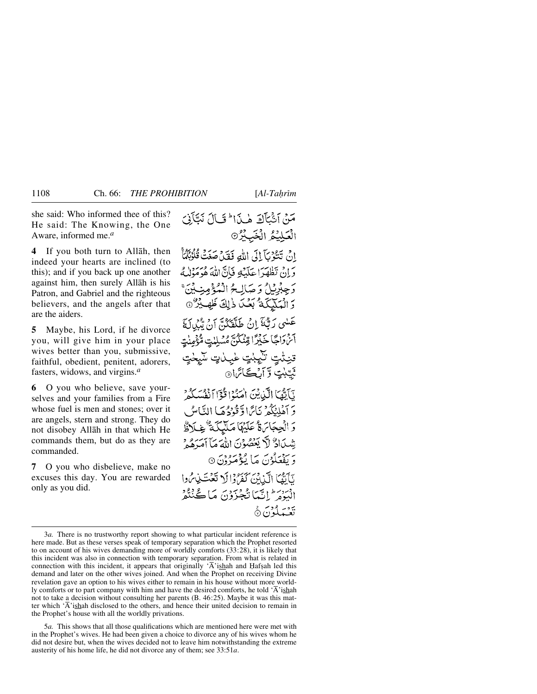she said: Who informed thee of this? He said: The Knowing, the One Aware, informed me.*<sup>a</sup>*

**4** If you both turn to Allåh, then indeed your hearts are inclined (to this); and if you back up one another against him, then surely Allåh is his Patron, and Gabriel and the righteous believers, and the angels after that are the aiders.

**5** Maybe, his Lord, if he divorce you, will give him in your place wives better than you, submissive, faithful, obedient, penitent, adorers, fasters, widows, and virgins.*<sup>a</sup>*

**6** O you who believe, save yourselves and your families from a Fire whose fuel is men and stones; over it are angels, stern and strong. They do not disobey Allåh in that which He commands them, but do as they are commanded.

**7** O you who disbelieve, make no excuses this day. You are rewarded only as you did.

مَنْ آثْبَأَكَ هٰذَا ۖ قَالَ نَبَّأَنِيَ الْعَلِيْعُ الْخَبِيْرُ® انْ تَتْبُوْيَ إِلَى اللَّهِ فَقَدْ صَغَتْ قُلُوْبُكُمٌّ دَ إِنْ تَظْهَدَا عَلَيْكَ فَإِنَّ اللَّهَ هُوَمَوْلُهُ وَجِبْرِيْلُ وَصَالِحُ الْمُؤْمِنِيِّينَ وَ الْعَلَيْكَةُ بَعْدَ ذَٰلِكَ ظَهِيْرٌ ٥ عَلَىٰ رَبُّنَا ۚ إِنۡ طَلَقَكُنَّ أَنْ تَدُرِكَهَمْ آنرواجًا خَبْرًا قِنْكُنَّ مُسْلِيتٍ مُّؤْمِنْتٍ تنيثت تنيبنت غينات سيخت ثَيِّبْتٍ وَآرُڪَأَتَرا۞ نَآيَّهُمَا الَّذِينَ أَمِنَهُمْ قُوْٓا أَذْهَبَ كُرْمٌ ۚ دَ أَهْلِيُكُمْ نَائِرًا وَّقُوْدُهَا النَّاسُ وَ الْجِجَاسَةُ عَلَيْهَا مَلَيْكَمَةٌ غِيلَاظٌ شِيَادٌ لَّا يَعْصُوْنَ اللَّهَ مَآ أَمَرَهُ وَ بر بيد دي.<br>د يفعَلُونَ مَا يُؤْمَرُونَ ۞ نَأَيُّهَا الَّذِبْنَ كَفَرُدًا لَا تَعْتَبِذِمُوا الْبَوْمَ ۖ إِنَّيْمَا نُجْزَوْنَ مَا كُنْتُفْرِ تَعْبَدَلُوْنَ ۞

5*a.* This shows that all those qualifications which are mentioned here were met with in the Prophet's wives. He had been given a choice to divorce any of his wives whom he did not desire but, when the wives decided not to leave him notwithstanding the extreme austerity of his home life, he did not divorce any of them; see 33:51*a*.

<sup>3</sup>*a.* There is no trustworthy report showing to what particular incident reference is here made. But as these verses speak of temporary separation which the Prophet resorted to on account of his wives demanding more of worldly comforts (33:28), it is likely that this incident was also in connection with temporary separation. From what is related in connection with this incident, it appears that originally ' $\overline{A}$ 'ishah and Hafsah led this demand and later on the other wives joined. And when the Prophet on receiving Divine revelation gave an option to his wives either to remain in his house without more worldly comforts or to part company with him and have the desired comforts, he told  $\overline{A}$ 'ishah not to take a decision without consulting her parents (B. 46:25). Maybe it was this matter which  $\overline{A}$ 'ishah disclosed to the others, and hence their united decision to remain in the Prophet's house with all the worldly privations.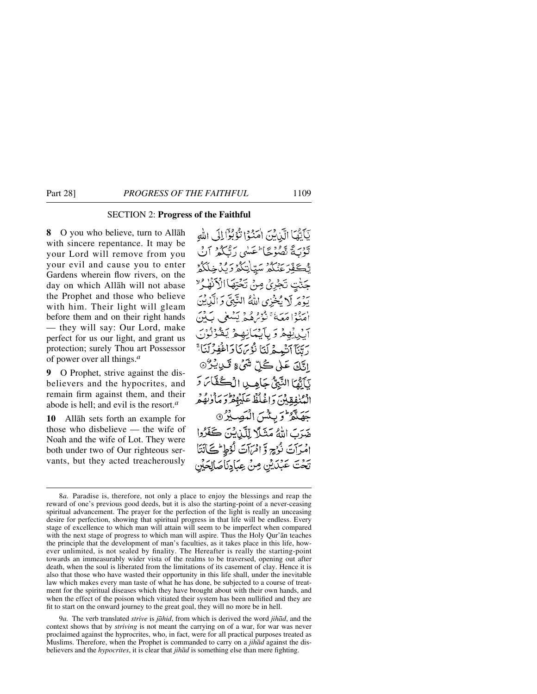#### SECTION 2: **Progress of the Faithful**

**8** O you who believe, turn to Allåh with sincere repentance. It may be your Lord will remove from you your evil and cause you to enter Gardens wherein flow rivers, on the day on which Allåh will not abase the Prophet and those who believe with him. Their light will gleam before them and on their right hands — they will say: Our Lord, make perfect for us our light, and grant us protection; surely Thou art Possessor of power over all things.*<sup>a</sup>*

**9** O Prophet, strive against the dis-believers and the hypocrites, and remain firm against them, and their abode is hell; and evil is the resort.*<sup>a</sup>*

**10** Allåh sets forth an example for those who disbelieve — the wife of Noah and the wife of Lot. They were both under two of Our righteous servants, but they acted treacherously

يَأَيُّهَا الَّذِينَ اٰمَنُوْا تُؤْبُوْالِلِّ اللَّهِ تَوْبَةً تَصُوْحًا عَسْى رَبَّكُمْ آنْ ؾ۠*ڂڴۊؚۨڒۼڹٛػۮ۫ۺ*ؾ۪ٳ۫ؾػۿۯؽڵ؋ڂػڴۄ جَنّْتٍ تَجْرِىٛ مِنْ تَخْتِهَا الْأَنْهٰدُ ٚ بَدْمَرِ لَا يُخْزِي اللَّهُ النَّبِيَّ وَ الَّذِينَ ن وا سَمَةٌ مِنْ مُهْرِ يَسْعَى بَ آن بِهِمْ وَ بِأَيْنَانِهِمْ يَقْرُنُوْنَ رَتَّنَا أَنْبِعِهْلَنَا نُؤْتَمَانَا وَاغْفِرْلَنَا؟ اٽَكَ عَلَىٰ كُلِّ شَيْءٍ تَسِيشُرُ @ يَأَيُّهَا النَّبِيُّ جَامِيلِ الْكُفَّاسَ وَ الْمُنْفِقِينَ دَاغْلُظْ عَلَيْهُمْ دِمَاْوُنِهُمْ جَهَنَّهُ وَبِئْسَ الْمَصِيْرُ 9 ضَرَبَ اللَّهُ مَثَلًا لِلَّيْنِ يُنَ كَفَرُوا امْرَآتَ نُرُجٍ وَّ امْرَآتَ لُؤُطِ مُحَانَتَا تَحْتَ عَبْدَيْنِ مِنْ عِبَادِنَاصَالِحَيْن

9*a.* The verb translated *strive* is *jåhid*, from which is derived the word *jihåd*, and the context shows that by *striving* is not meant the carrying on of a war, for war was never proclaimed against the hyprocrites, who, in fact, were for all practical purposes treated as Muslims. Therefore, when the Prophet is commanded to carry on a *jihåd* against the disbelievers and the *hypocrites*, it is clear that *jihåd* is something else than mere fighting.

<sup>8</sup>*a.* Paradise is, therefore, not only a place to enjoy the blessings and reap the reward of one's previous good deeds, but it is also the starting-point of a never-ceasing spiritual advancement. The prayer for the perfection of the light is really an unceasing desire for perfection, showing that spiritual progress in that life will be endless. Every stage of excellence to which man will attain will seem to be imperfect when compared with the next stage of progress to which man will aspire. Thus the Holy Qur'ån teaches the principle that the development of man's faculties, as it takes place in this life, however unlimited, is not sealed by finality. The Hereafter is really the starting-point towards an immeasurably wider vista of the realms to be traversed, opening out after death, when the soul is liberated from the limitations of its casement of clay. Hence it is also that those who have wasted their opportunity in this life shall, under the inevitable law which makes every man taste of what he has done, be subjected to a course of treatment for the spiritual diseases which they have brought about with their own hands, and when the effect of the poison which vitiated their system has been nullified and they are fit to start on the onward journey to the great goal, they will no more be in hell.